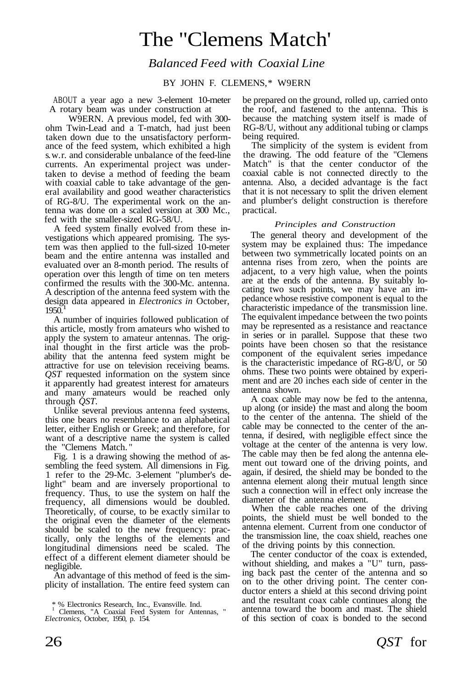# The "Clemens Match'

*Balanced Feed with Coaxial Line*

BY JOHN F. CLEMENS.\* W9ERN

ABOUT a year ago a new 3-element 10-meter A rotary beam was under construction at

W9ERN. A previous model, fed with 300 ohm Twin-Lead and a T-match, had just been taken down due to the unsatisfactory performance of the feed system, which exhibited a high s.w.r. and considerable unbalance of the feed-line currents. An experimental project was undertaken to devise a method of feeding the beam with coaxial cable to take advantage of the general availability and good weather characteristics of RG-8/U. The experimental work on the antenna was done on a scaled version at 300 Mc., fed with the smaller-sized RG-58/U.

A feed system finally evolved from these investigations which appeared promising. The system was then applied to the full-sized 10-meter beam and the entire antenna was installed and evaluated over an 8-month period. The results of operation over this length of time on ten meters confirmed the results with the 300-Mc. antenna. A description of the antenna feed system with the design data appeared in *Electronics in* October, 1 1950.

A number of inquiries followed publication of this article, mostly from amateurs who wished to apply the system to amateur antennas. The original thought in the first article was the probability that the antenna feed system might be attractive for use on television receiving beams. *QST* requested information on the system since it apparently had greatest interest for amateurs and many amateurs would be reached only through *QST.*

Unlike several previous antenna feed systems, this one bears no resemblance to an alphabetical letter, either English or Greek; and therefore, for want of a descriptive name the system is called the "Clemens Match. "

Fig. 1 is a drawing showing the method of assembling the feed system. All dimensions in Fig. 1 refer to the 29-Mc. 3-element "plumber's delight" beam and are inversely proportional to frequency. Thus, to use the system on half the frequency, all dimensions would be doubled. Theoretically, of course, to be exactly similar to the original even the diameter of the elements should be scaled to the new frequency: practically, only the lengths of the elements and longitudinal dimensions need be scaled. The effect of a different element diameter should be negligible.

An advantage of this method of feed is the simplicity of installation. The entire feed system can be prepared on the ground, rolled up, carried onto the roof, and fastened to the antenna. This is because the matching system itself is made of RG-8/U, without any additional tubing or clamps being required.

The simplicity of the system is evident from the drawing. The odd feature of the "Clemens Match" is that the center conductor of the coaxial cable is not connected directly to the antenna. Also, a decided advantage is the fact that it is not necessary to split the driven element and plumber's delight construction is therefore practical.

### *Principles and Construction*

The general theory and development of the system may be explained thus: The impedance between two symmetrically located points on an antenna rises from zero, when the points are adjacent, to a very high value, when the points are at the ends of the antenna. By suitably locating two such points, we may have an impedance whose resistive component is equal to the characteristic impedance of the transmission line. The equivalent impedance between the two points may be represented as a resistance and reactance in series or in parallel. Suppose that these two points have been chosen so that the resistance component of the equivalent series impedance is the characteristic impedance of RG-8/ $\hat{U}$ , or 50 ohms. These two points were obtained by experiment and are 20 inches each side of center in the antenna shown.

A coax cable may now be fed to the antenna, up along (or inside) the mast and along the boom to the center of the antenna. The shield of the cable may be connected to the center of the antenna, if desired, with negligible effect since the voltage at the center of the antenna is very low. The cable may then be fed along the antenna element out toward one of the driving points, and again, if desired, the shield may be bonded to the antenna element along their mutual length since such a connection will in effect only increase the diameter of the antenna element.

When the cable reaches one of the driving points, the shield must be well bonded to the antenna element. Current from one conductor of the transmission line, the coax shield, reaches one of the driving points by this connection.

The center conductor of the coax is extended, without shielding, and makes a "U" turn, passing back past the center of the antenna and so on to the other driving point. The center conductor enters a shield at this second driving point and the resultant coax cable continues along the antenna toward the boom and mast. The shield of this section of coax is bonded to the second

<sup>\* %</sup> Electronics Research, Inc., Evansville. Ind.

<sup>1</sup> Clemens, "A Coaxial Feed System for Antennas, " *Electronics,* October, 1950, p. 154.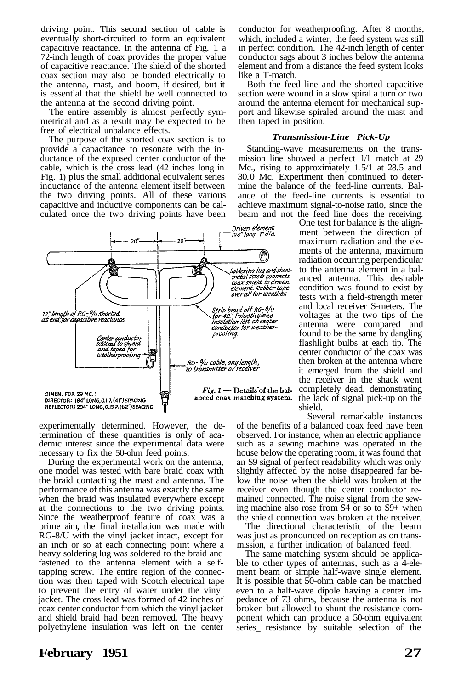driving point. This second section of cable is eventually short-circuited to form an equivalent capacitive reactance. In the antenna of Fig. 1 a 72-inch length of coax provides the proper value of capacitive reactance. The shield of the shorted coax section may also be bonded electrically to the antenna, mast, and boom, if desired, but it is essential that the shield be well connected to the antenna at the second driving point.

The entire assembly is almost perfectly symmetrical and as a result may be expected to be free of electrical unbalance effects.

The purpose of the shorted coax section is to provide a capacitance to resonate with the inductance of the exposed center conductor of the cable, which is the cross lead (42 inches long in Fig. 1) plus the small additional equivalent series inductance of the antenna element itself between the two driving points. All of these various capacitive and inductive components can be calculated once the two driving points have been



experimentally determined. However, the determination of these quantities is only of academic interest since the experimental data were necessary to fix the 50-ohm feed points.

During the experimental work on the antenna, one model was tested with bare braid coax with the braid contacting the mast and antenna. The performance of this antenna was exactly the same when the braid was insulated everywhere except at the connections to the two driving points. Since the weatherproof feature of coax was a prime aim, the final installation was made with RG-8/U with the vinyl jacket intact, except for an inch or so at each connecting point where a heavy soldering lug was soldered to the braid and fastened to the antenna element with a selftapping screw. The entire region of the connection was then taped with Scotch electrical tape to prevent the entry of water under the vinyl jacket. The cross lead was formed of 42 inches of coax center conductor from which the vinyl jacket and shield braid had been removed. The heavy polyethylene insulation was left on the center conductor for weatherproofing. After 8 months, which, included a winter, the feed system was still in perfect condition. The 42-inch length of center conductor sags about 3 inches below the antenna element and from a distance the feed system looks like a T-match.

Both the feed line and the shorted capacitive section were wound in a slow spiral a turn or two around the antenna element for mechanical support and likewise spiraled around the mast and then taped in position.

#### *Transmission-Line Pick-Up*

Standing-wave measurements on the transmission line showed a perfect 1/1 match at 29 Mc., rising to approximately  $1.5/1$  at  $28.5$  and 30. 0 Mc. Experiment then continued to determine the balance of the feed-line currents. Balance of the feed-line currents is essential to achieve maximum signal-to-noise ratio, since the beam and not the feed line does the receiving.

One test for balance is the alignment between the direction of maximum radiation and the elements of the antenna, maximum radiation occurring perpendicular to the antenna element in a balanced antenna. This desirable condition was found to exist by tests with a field-strength meter and local receiver S-meters. The voltages at the two tips of the antenna were compared and found to be the same by dangling flashlight bulbs at each tip. The center conductor of the coax was then broken at the antenna where it emerged from the shield and the receiver in the shack went  $Fig. 1$  — Details of the bal- completely dead, demonstrating anced coax matching system. the lack of signal pick-up on the shield.

> Several remarkable instances of the benefits of a balanced coax feed have been observed. For instance, when an electric appliance such as a sewing machine was operated in the house below the operating room, it was found that an S9 signal of perfect readability which was only slightly affected by the noise disappeared far below the noise when the shield was broken at the receiver even though the center conductor remained connected. The noise signal from the sewing machine also rose from S4 or so to S9+ when the shield connection was broken at the receiver.

> The directional characteristic of the beam was just as pronounced on reception as on transmission, a further indication of balanced feed.

> The same matching system should be applicable to other types of antennas, such as a 4-element beam or simple half-wave single element. It is possible that 50-ohm cable can be matched even to a half-wave dipole having a center impedance of 73 ohms, because the antenna is not broken but allowed to shunt the resistance component which can produce a 50-ohm equivalent series\_ resistance by suitable selection of the

## **February 1951 27**